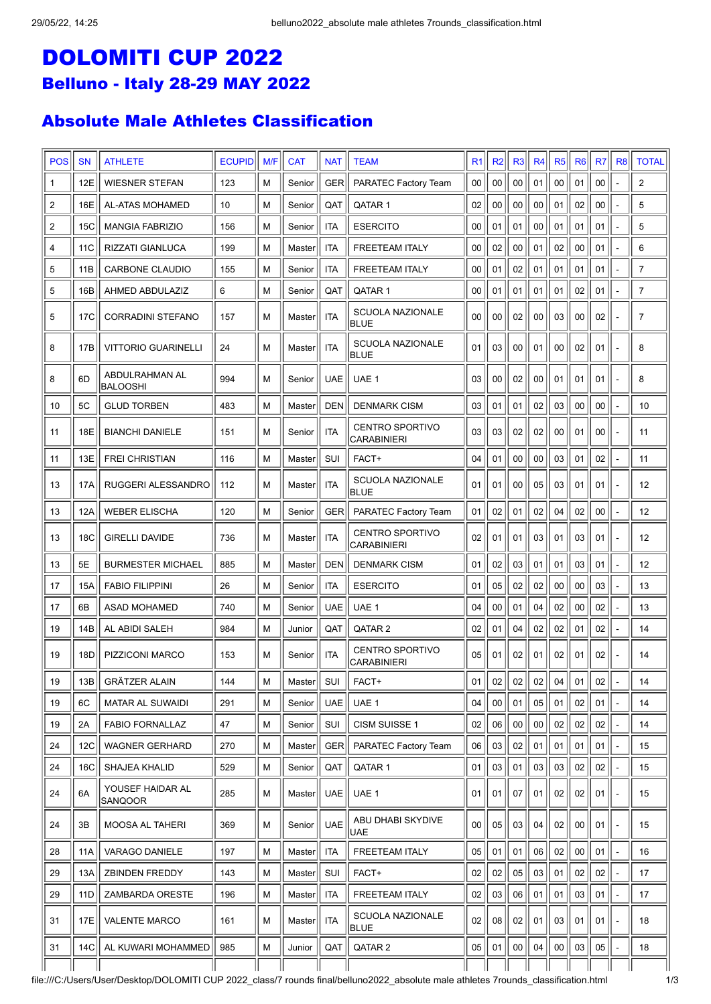## DOLOMITI CUP 2022 Belluno - Italy 28-29 MAY 2022

## Absolute Male Athletes Classification

| <b>POS</b> | <b>SN</b>       | <b>ATHLETE</b>              | <b>ECUPID</b> | M/F | <b>CAT</b>          | <b>NAT</b> | <b>TEAM</b>                                  | R <sub>1</sub>  | R <sub>2</sub>  | R <sub>3</sub> | R <sub>4</sub> | R <sub>5</sub> | R <sub>6</sub>  | R <sub>7</sub> | R <sub>8</sub>           | <b>TOTAL</b>   |
|------------|-----------------|-----------------------------|---------------|-----|---------------------|------------|----------------------------------------------|-----------------|-----------------|----------------|----------------|----------------|-----------------|----------------|--------------------------|----------------|
| 1          | 12E             | <b>WIESNER STEFAN</b>       | 123           | M   | Senior              | <b>GER</b> | PARATEC Factory Team                         | 00              | 00              | 00             | 01             | 00             | 01              | 00             |                          | $\overline{2}$ |
| 2          | 16E             | AL-ATAS MOHAMED             | 10            | M   | Senior              | QAT        | QATAR 1                                      | 02              | 00              | 00             | 00             | 01             | 02              | 00             |                          | 5              |
| 2          | 15C             | <b>MANGIA FABRIZIO</b>      | 156           | M   | Senior              | ITA        | <b>ESERCITO</b>                              | 00              | 01              | 01             | 00             | 01             | 01              | 01             |                          | 5              |
| 4          | 11 <sub>C</sub> | RIZZATI GIANLUCA            | 199           | M   | Master              | <b>ITA</b> | <b>FREETEAM ITALY</b>                        | 00              | 02              | 00             | 01             | 02             | 00              | 01             |                          | 6              |
| 5          | 11B             | CARBONE CLAUDIO             | 155           | M   | Senior              | ITA        | <b>FREETEAM ITALY</b>                        | 00              | 01              | 02             | 01             | 01             | 01              | 01             |                          | 7              |
| 5          | 16B             | AHMED ABDULAZIZ             | 6             | M   | Senior              | QAT        | QATAR 1                                      | 00              | 01              | 01             | 01             | 01             | 02              | 01             |                          | 7              |
| 5          | 17C             | <b>CORRADINI STEFANO</b>    | 157           | M   | Master              | ITA        | <b>SCUOLA NAZIONALE</b><br>BLUE              | 00              | 00              | 02             | 00             | 03             | 00              | 02             |                          | $\overline{7}$ |
| 8          | 17B             | <b>VITTORIO GUARINELLI</b>  | 24            | M   | Masterl             | <b>ITA</b> | <b>SCUOLA NAZIONALE</b><br><b>BLUE</b>       | 0 <sub>1</sub>  | 03              | 00             | 01             | 00             | 02              | 01             |                          | 8              |
| 8          | 6D              | ABDULRAHMAN AL<br>IBALOOSHI | 994           | M   | Senior              | <b>UAE</b> | UAE 1                                        | 03              | 00              | 02             | 00             | 01             | 01              | 01             |                          | 8              |
| 10         | 5C              | <b>GLUD TORBEN</b>          | 483           | M   | Master              | <b>DEN</b> | <b>DENMARK CISM</b>                          | 03              | 01              | 01             | 02             | 03             | 00              | 00             |                          | 10             |
| 11         | 18E             | <b>BIANCHI DANIELE</b>      | 151           | M   | Senior              | <b>ITA</b> | <b>CENTRO SPORTIVO</b><br><b>CARABINIERI</b> | 03              | 03              | 02             | 02             | 00             | 01              | 00             |                          | 11             |
| 11         | 13E             | FREI CHRISTIAN              | 116           | M   | Master              | SUI        | FACT+                                        | 04              | 01              | 00             | 00             | 03             | 01              | 02             |                          | 11             |
| 13         | 17A             | RUGGERI ALESSANDRO          | 112           | М   | Master              | <b>ITA</b> | <b>SCUOLA NAZIONALE</b><br> BLUE             | 01              | 01              | 00             | 05             | 03             | 01              | 01             |                          | 12             |
| 13         | 12A             | <b>WEBER ELISCHA</b>        | 120           | M   | Senior              | GER        | PARATEC Factory Team                         | 01              | 02              | 01             | 02             | 04             | 02              | 00             |                          | 12             |
| 13         | 18C             | <b>GIRELLI DAVIDE</b>       | 736           | M   | Master              | <b>ITA</b> | <b>CENTRO SPORTIVO</b><br><b>CARABINIERI</b> | 02              | 01              | 01             | 03             | 01             | 03              | 01             |                          | 12             |
| 13         | 5E              | <b>BURMESTER MICHAEL</b>    | 885           | M   | Master              | <b>DEN</b> | <b>DENMARK CISM</b>                          | 01              | 02              | 03             | 01             | 01             | 03              | 01             |                          | 12             |
| 17         | 15A             | <b>FABIO FILIPPINI</b>      | 26            | M   | Senior              | ITA        | <b>ESERCITO</b>                              | 01              | 05              | 02             | 02             | 00             | 00              | 03             |                          | 13             |
| 17         | 6B              | <b>ASAD MOHAMED</b>         | 740           | M   | Senior              | <b>UAE</b> | UAE 1                                        | 04              | 00              | 01             | 04             | 02             | 00              | 02             |                          | 13             |
| 19         | 14B             | AL ABIDI SALEH              | 984           | M   | Junior              | QAT        | QATAR <sub>2</sub>                           | 02              | 01              | 04             | 02             | 02             | 01              | 02             |                          | 14             |
| 19         | 18D             | PIZZICONI MARCO             | 153           | M   | Senior              | <b>ITA</b> | <b>CENTRO SPORTIVO</b><br><b>CARABINIERI</b> | 05              | 01              | 02             | 01             | 02             | 01              | 02             |                          | 14             |
| 19         | 13B             | <b>GRÄTZER ALAIN</b>        | 144           | M   | Master <sup> </sup> | SUI        | FACT+                                        | 01              | በ2<br>∾∸ ⊥      | 02             | 02             | 04             | 01              | 02             |                          | 14             |
| 19         | 6C              | <b>MATAR AL SUWAIDI</b>     | 291           | M   | Senior              | <b>UAE</b> | UAE 1                                        | 04              | 00 <sup>1</sup> | 01             | 05             | 01             | 02              | 01             |                          | 14             |
| 19         | 2A              | <b>FABIO FORNALLAZ</b>      | 47            | M   | Senior              | SUI        | CISM SUISSE 1                                | 02              | 06              | 00             | 00             | 02             | 02              | 02             |                          | 14             |
| 24         | 12C             | <b>WAGNER GERHARD</b>       | 270           | M   | Master              | GER        | PARATEC Factory Team                         | 06              | 03              | 02             | 01             | 01             | 01              | 01             |                          | 15             |
| 24         | 16C             | SHAJEA KHALID               | 529           | M   | Senior              | QAT        | QATAR 1                                      | 01              | 03              | 01             | 03             | 03             | 02              | 02             |                          | 15             |
| 24         | 6A              | YOUSEF HAIDAR AL<br>SANQOOR | 285           | M   | Master              | <b>UAE</b> | UAE 1                                        | 01              | 01              | 07             | 01             | 02             | 02              | 01             |                          | 15             |
| 24         | 3B              | <b>MOOSA AL TAHERI</b>      | 369           | M   | Senior              | <b>UAE</b> | ABU DHABI SKYDIVE<br><b>UAE</b>              | 00 <sub>1</sub> | 05              | 03             | 04             | 02             | 00 <sup>1</sup> | 01             |                          | 15             |
| 28         | 11A             | VARAGO DANIELE              | 197           | M   | Master              | ITA        | <b>FREETEAM ITALY</b>                        | 05              | 01              | 01             | 06             | 02             | 00              | 01             | $\overline{\phantom{0}}$ | 16             |
| 29         | 13A             | <b>ZBINDEN FREDDY</b>       | 143           | M   | Master              | SUI        | FACT+                                        | 02              | 02              | 05             | 03             | 01             | 02              | 02             |                          | 17             |
| 29         | 11D             | ZAMBARDA ORESTE             | 196           | M   | Master              | ITA        | <b>FREETEAM ITALY</b>                        | 02              | 03              | 06             | 01             | 01             | 03              | 01             | ÷,                       | 17             |
| 31         | 17E             | <b>VALENTE MARCO</b>        | 161           | M   | Master              | ITA        | <b>SCUOLA NAZIONALE</b><br> BLUE             | 02              | 08              | 02             | 01             | 03             | 01              | 01             |                          | 18             |
| 31         | 14C             | AL KUWARI MOHAMMED          | 985           | M   | Junior              | QAT        | QATAR 2                                      | 05              | 01              | 00             | 04             | 00             | 03              | 05             |                          | 18             |
|            |                 |                             |               |     |                     |            |                                              |                 |                 |                |                |                |                 |                |                          |                |

file:///C:/Users/User/Desktop/DOLOMITI CUP 2022\_class/7 rounds final/belluno2022\_absolute male athletes 7rounds\_classification.html 1/3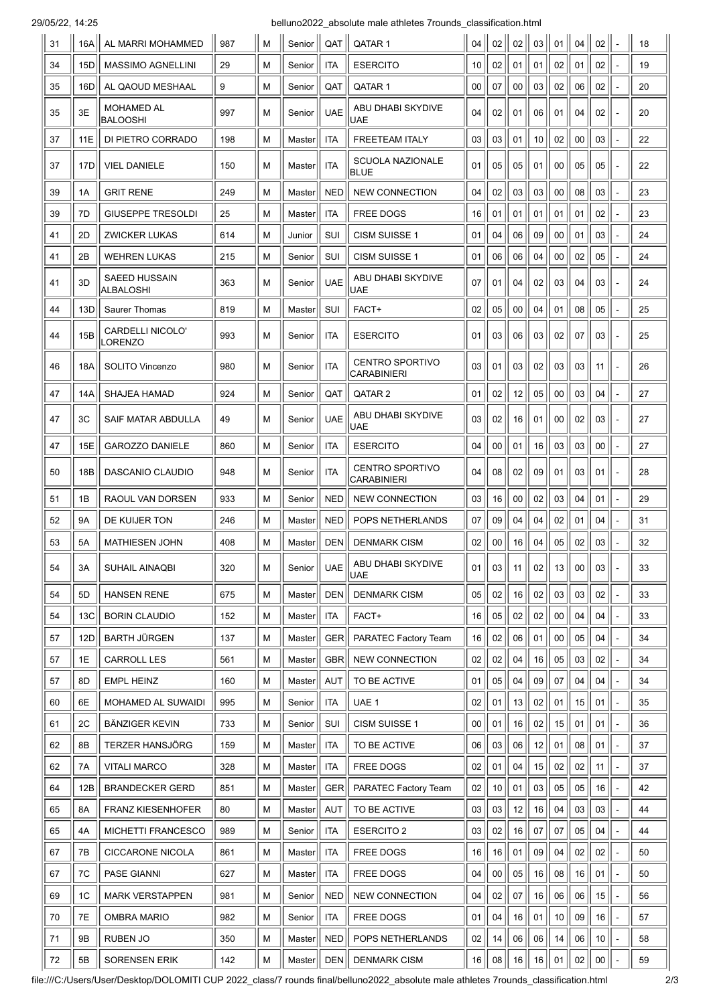29/05/22, 14:25 belluno2022\_absolute male athletes 7rounds\_classification.html

| 31 | 16A | AL MARRI MOHAMMED                 | 987 | М | Senior | QAT        | QATAR 1                               | 04 | 02   | 02 | 03 | 01 | 04              | 02 |                | 18 |
|----|-----|-----------------------------------|-----|---|--------|------------|---------------------------------------|----|------|----|----|----|-----------------|----|----------------|----|
| 34 | 15D | <b>MASSIMO AGNELLINI</b>          | 29  | М | Senior | ITA        | <b>ESERCITO</b>                       | 10 | 02   | 01 | 01 | 02 | 01              | 02 |                | 19 |
| 35 | 16D | AL QAOUD MESHAAL                  | 9   | Μ | Senior | QAT        | QATAR 1                               | 00 | 07   | 00 | 03 | 02 | 06              | 02 |                | 20 |
| 35 | 3E  | <b>MOHAMED AL</b><br>BALOOSHI     | 997 | М | Senior | <b>UAE</b> | ABU DHABI SKYDIVE<br>UAE              | 04 | 02   | 01 | 06 | 01 | 04              | 02 |                | 20 |
| 37 | 11E | DI PIETRO CORRADO                 | 198 | М | Master | <b>ITA</b> | <b>FREETEAM ITALY</b>                 | 03 | 03   | 01 | 10 | 02 | 00              | 03 |                | 22 |
| 37 | 17D | <b>VIEL DANIELE</b>               | 150 | М | Master | ITA        | SCUOLA NAZIONALE<br><b>BLUE</b>       | 01 | 05   | 05 | 01 | 00 | 05              | 05 |                | 22 |
| 39 | 1A  | <b>GRIT RENE</b>                  | 249 | М | Master | <b>NED</b> | <b>NEW CONNECTION</b>                 | 04 | 02   | 03 | 03 | 00 | 08              | 03 |                | 23 |
| 39 | 7D  | <b>GIUSEPPE TRESOLDI</b>          | 25  | М | Master | <b>ITA</b> | <b>FREE DOGS</b>                      | 16 | 01   | 01 | 01 | 01 | 01              | 02 |                | 23 |
| 41 | 2D  | <b>ZWICKER LUKAS</b>              | 614 | М | Junior | SUI        | <b>CISM SUISSE 1</b>                  | 01 | 04   | 06 | 09 | 00 | 01              | 03 |                | 24 |
| 41 | 2Β  | <b>WEHREN LUKAS</b>               | 215 | М | Senior | SUI        | <b>CISM SUISSE 1</b>                  | 01 | 06   | 06 | 04 | 00 | 02              | 05 |                | 24 |
| 41 | 3D  | <b>SAEED HUSSAIN</b><br>ALBALOSHI | 363 | м | Senior | <b>UAE</b> | ABU DHABI SKYDIVE<br><b>UAE</b>       | 07 | 01   | 04 | 02 | 03 | 04              | 03 | $\blacksquare$ | 24 |
| 44 | 13D | Saurer Thomas                     | 819 | М | Master | SUI        | FACT+                                 | 02 | 05   | 00 | 04 | 01 | 08              | 05 |                | 25 |
| 44 | 15B | CARDELLI NICOLO'<br>LORENZO       | 993 | М | Senior | ITA        | <b>ESERCITO</b>                       | 01 | 03   | 06 | 03 | 02 | 07              | 03 |                | 25 |
| 46 | 18A | SOLITO Vincenzo                   | 980 | М | Senior | <b>ITA</b> | <b>CENTRO SPORTIVO</b><br>CARABINIERI | 03 | 01   | 03 | 02 | 03 | 03              | 11 |                | 26 |
| 47 | 14A | <b>SHAJEA HAMAD</b>               | 924 | М | Senior | QAT        | QATAR <sub>2</sub>                    | 01 | 02   | 12 | 05 | 00 | 03              | 04 |                | 27 |
| 47 | ЗC  | SAIF MATAR ABDULLA                | 49  | м | Senior | <b>UAE</b> | ABU DHABI SKYDIVE<br>UAE              | 03 | 02   | 16 | 01 | 00 | 02              | 03 |                | 27 |
| 47 | 15E | <b>GAROZZO DANIELE</b>            | 860 | М | Senior | <b>ITA</b> | <b>ESERCITO</b>                       | 04 | 00   | 01 | 16 | 03 | 03              | 00 |                | 27 |
| 50 | 18B | DASCANIO CLAUDIO                  | 948 | М | Senior | <b>ITA</b> | <b>CENTRO SPORTIVO</b><br>CARABINIERI | 04 | 08   | 02 | 09 | 01 | 03              | 01 |                | 28 |
| 51 | 1B  | RAOUL VAN DORSEN                  | 933 | М | Senior | <b>NED</b> | <b>NEW CONNECTION</b>                 | 03 | 16   | 00 | 02 | 03 | 04              | 01 | $\overline{a}$ | 29 |
| 52 | 9Α  | DE KUIJER TON                     | 246 | м | Master | <b>NED</b> | POPS NETHERLANDS                      | 07 | 09   | 04 | 04 | 02 | 01              | 04 |                | 31 |
| 53 | 5А  | <b>MATHIESEN JOHN</b>             | 408 | М | Master | <b>DEN</b> | <b>DENMARK CISM</b>                   | 02 | 00   | 16 | 04 | 05 | 02              | 03 |                | 32 |
| 54 | 3A  | SUHAIL AINAQBI                    | 320 | М | Senior | UAE        | ABU DHABI SKYDIVE<br>UAE              | 01 | 03   | 11 | 02 | 13 | 00 <sub>0</sub> | 03 |                | 33 |
| 54 | 5D  | <b>HANSEN RENE</b>                | 675 | М | Master | <b>DEN</b> | <b>DENMARK CISM</b>                   | 05 | 02   | 16 | 02 | 03 | 03              | 02 |                | 33 |
| 54 | 13C | <b>BORIN CLAUDIO</b>              | 152 | M | Master | <b>ITA</b> | FACT+                                 | 16 | 05   | 02 | 02 | 00 | 04              | 04 |                | 33 |
| 57 | 12D | <b>BARTH JÜRGEN</b>               | 137 | М | Master | <b>GER</b> | PARATEC Factory Team                  | 16 | 02   | 06 | 01 | 00 | 05              | 04 |                | 34 |
| 57 | 1E  | <b>CARROLL LES</b>                | 561 | М | Master | <b>GBR</b> | <b>NEW CONNECTION</b>                 | 02 | 02   | 04 | 16 | 05 | 03              | 02 |                | 34 |
| 57 | 8D  | <b>EMPL HEINZ</b>                 | 160 | М | Master | <b>AUT</b> | TO BE ACTIVE                          | 01 | 05   | 04 | 09 | 07 | 04              | 04 |                | 34 |
| 60 | 6E  | MOHAMED AL SUWAIDI                | 995 | М | Senior | ITA        | UAE 1                                 | 02 | 01   | 13 | 02 | 01 | 15              | 01 | $\overline{a}$ | 35 |
| 61 | 2C  | <b>BÄNZIGER KEVIN</b>             | 733 | М | Senior | SUI        | CISM SUISSE 1                         | 00 | 01   | 16 | 02 | 15 | 01              | 01 |                | 36 |
| 62 | 8Β  | TERZER HANSJÖRG                   | 159 | М | Master | ITA        | TO BE ACTIVE                          | 06 | 03   | 06 | 12 | 01 | 08              | 01 | $\overline{a}$ | 37 |
| 62 | 7A  | <b>VITALI MARCO</b>               | 328 | М | Master | <b>ITA</b> | FREE DOGS                             | 02 | 01   | 04 | 15 | 02 | 02              | 11 |                | 37 |
| 64 | 12B | <b>BRANDECKER GERD</b>            | 851 | М | Master | GER        | PARATEC Factory Team                  | 02 | $10$ | 01 | 03 | 05 | 05              | 16 | $\overline{a}$ | 42 |
| 65 | 8A  | <b>FRANZ KIESENHOFER</b>          | 80  | М | Master | <b>AUT</b> | TO BE ACTIVE                          | 03 | 03   | 12 | 16 | 04 | 03              | 03 |                | 44 |
| 65 | 4A  | MICHETTI FRANCESCO                | 989 | М | Senior | ITA        | <b>ESERCITO 2</b>                     | 03 | 02   | 16 | 07 | 07 | 05              | 04 |                | 44 |
| 67 | 7B  | <b>CICCARONE NICOLA</b>           | 861 | М | Master | ITA        | FREE DOGS                             | 16 | 16   | 01 | 09 | 04 | 02              | 02 |                | 50 |
| 67 | 7C  | <b>PASE GIANNI</b>                | 627 | М | Master | ITA        | <b>FREE DOGS</b>                      | 04 | 00   | 05 | 16 | 08 | 16              | 01 | $\overline{a}$ | 50 |
| 69 | 1C  | <b>MARK VERSTAPPEN</b>            | 981 | М | Senior | <b>NED</b> | <b>NEW CONNECTION</b>                 | 04 | 02   | 07 | 16 | 06 | 06              | 15 |                | 56 |
| 70 | 7E  | <b>OMBRA MARIO</b>                | 982 | М | Senior | ITA        | <b>FREE DOGS</b>                      | 01 | 04   | 16 | 01 | 10 | 09              | 16 | ÷,             | 57 |
| 71 | 9Β  | RUBEN JO                          | 350 | М | Master | <b>NED</b> | POPS NETHERLANDS                      | 02 | 14   | 06 | 06 | 14 | 06              | 10 |                | 58 |
| 72 | 5B  | SORENSEN ERIK                     | 142 | М | Master | DEFN       | <b>DENMARK CISM</b>                   | 16 | 08   | 16 | 16 | 01 | 02              | 00 |                | 59 |

file:///C:/Users/User/Desktop/DOLOMITI CUP 2022\_class/7 rounds final/belluno2022\_absolute male athletes 7rounds\_classification.html 2/3